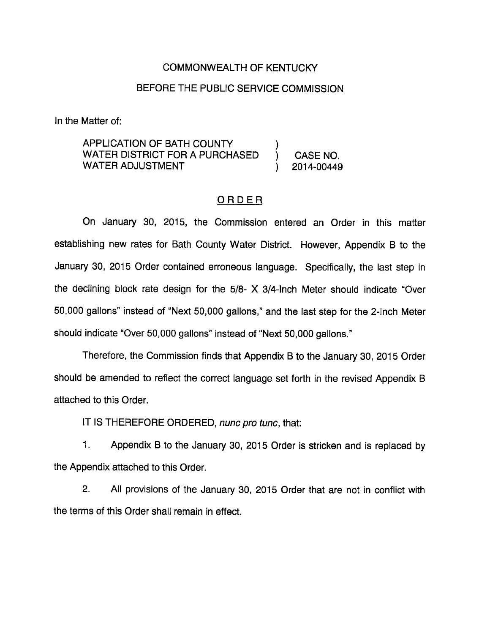#### COMMONWEALTH OF KENTUCKY

#### BEFORE THE PUBLIC SERVICE COMMISSION

In the Matter of:

APPLICATION OF BATH COUNTY ) WATER DISTRICT FOR A PURCHASED (CASE NO. WATER ADJUSTMENT (2014-00449)

### ORDER

On January 30, 2015, the Commission entered an Order in this matter establishing new rates for Bath County Water District. However, Appendix B to the January 30, 2015 Order contained erroneous language. Specifically, the last step in the declining block rate design for the 5/8- X 3/4-inch Meter should indicate "Over 50,000 gallons" instead of "Next 50,000 gallons," and the last step for the 2-Inch Meter should indicate "Over 50,000 gallons" instead of "Next 50,000 gallons."

Therefore, the Commission finds that Appendix B to the January 30, 2015 Order should be amended to reflect the correct language set forth in the revised Appendix B attached to this Order.

IT IS THEREFORE ORDERED, nunc pro tunc, that:

1. Appendix B to the January 30, 2015 Order is stricken and is replaced by the Appendix attached to this Order.

2. All provisions of the January 30, 2015 Order that are not in conflict with the terms of this Order shall remain in effect.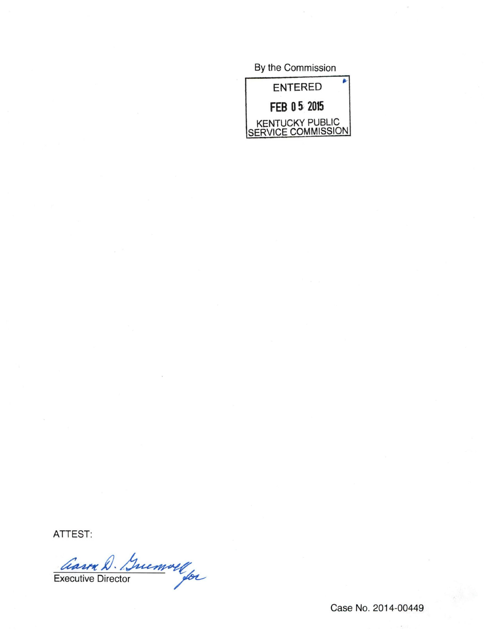By the Commission



ATTEST:

Carra D. Guemoll

Case No. 2014-00449

 $\sim$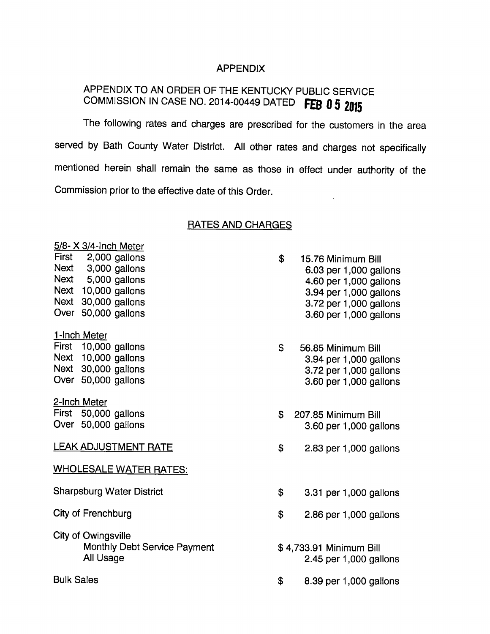### APPENDIX

# APPENDIX TO AN ORDER OF THE KENTUCKY PUBLIC SERVICE COMMISSION IN CASE NO. 2014-00449 DATED FEB 0 5 2015

The following rates and charges are prescribed for the customers in the area served by Bath County Water District. All other rates and charges not specifically mentioned herein shall remain the same as those in effect under authority of the Commission prior to the effective date of this Order.  $\mathcal{L}$ 

## RATES AND CHARGES

| $5/8$ - $\times$ 3/4-Inch Meter                                  |  |  |
|------------------------------------------------------------------|--|--|
| First 2,000 gallons                                              |  |  |
| Next 3,000 gallons                                               |  |  |
| Next 5,000 gallons                                               |  |  |
| Next 10,000 gallons                                              |  |  |
| Next 30,000 gallons                                              |  |  |
| Over 50,000 gallons                                              |  |  |
| 1-Inch Meter                                                     |  |  |
| First 10,000 gallons                                             |  |  |
| Next 10,000 gallons                                              |  |  |
| Next 30,000 gallons                                              |  |  |
| Over 50,000 gallons                                              |  |  |
| 2-Inch Meter                                                     |  |  |
| First 50,000 gallons                                             |  |  |
| Over 50,000 gallons                                              |  |  |
| <b>LEAK ADJUSTMENT RATE</b>                                      |  |  |
| <b>WHOLESALE WATER RATES:</b>                                    |  |  |
| <b>Sharpsburg Water District</b>                                 |  |  |
| City of Frenchburg                                               |  |  |
| City of Owingsville<br>Monthly Debt Service Payment<br>All Usage |  |  |
| <b>Bulk Sales</b>                                                |  |  |

| \$<br>15.76 Minimum Bill |
|--------------------------|
| 6.03 per 1,000 gallons   |
| 4.60 per 1,000 gallons   |
| 3.94 per 1,000 gallons   |
| 3.72 per 1,000 gallons   |
| 3.60 per 1,000 gallons   |

- $\mathbf{s}$ 56.85 Minimum Bill 3.94 per 1,000 gallons 3.72 per 1,000 gallons 3.60 per 1,000 gallons
- \$ 207.85 Minimum Bill 3.60 per 1,000 gallons
- \$ 2.83 per 1,000 gallons
- \$ 3.31 per 1,000 gallons
- \$ 2.86 per 1,000 gallons
- \$ 4,733.91 Minimum Bill 2.45 per 1,000 gallons
- \$ 8.39 per 1,000 gallons